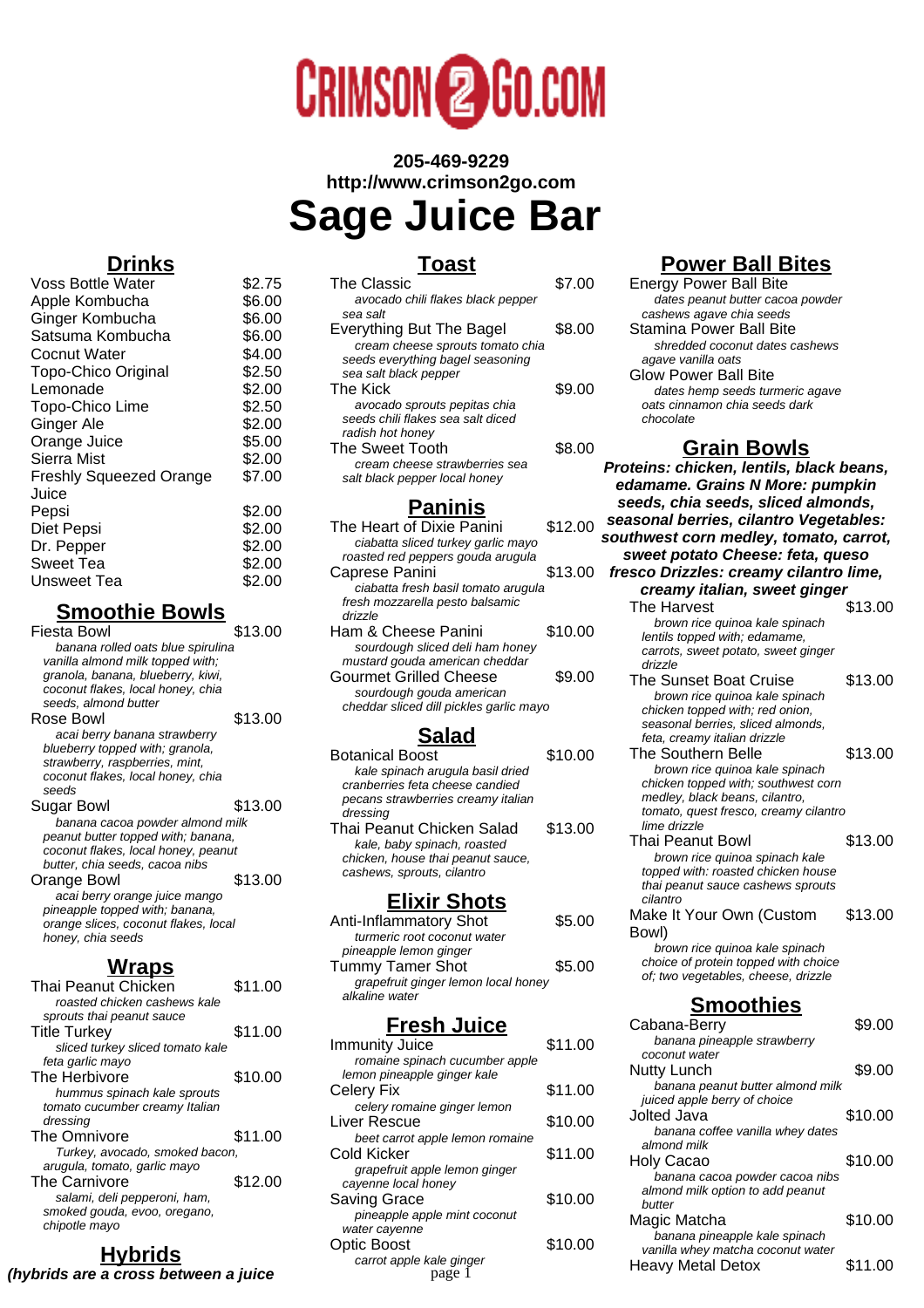

# **205-469-9229 http://www.crimson2go.com Sage Juice Bar**

**Toast**

| The Classic                       | \$7.00 |
|-----------------------------------|--------|
| avocado chili flakes black pepper |        |
| sea salt                          |        |
| <b>Everything But The Bagel</b>   | \$8.00 |
| cream cheese sprouts tomato chia  |        |
| seeds everything bagel seasoning  |        |
| sea salt black pepper             |        |
| The Kick                          | \$9.00 |
| avocado sprouts pepitas chia      |        |
| seeds chili flakes sea salt diced |        |
| radish hot honey                  |        |
| The Sweet Tooth                   | \$8.00 |
| cream cheese strawberries sea     |        |
| salt black pepper local honey     |        |
|                                   |        |

#### **Paninis**

| The Heart of Dixie Panini               | \$12.00 |
|-----------------------------------------|---------|
| ciabatta sliced turkey garlic mayo      |         |
| roasted red peppers gouda arugula       |         |
| Caprese Panini                          | \$13.00 |
| ciabatta fresh basil tomato arugula     |         |
| fresh mozzarella pesto balsamic         |         |
| drizzle                                 |         |
| Ham & Cheese Panini                     | \$10.00 |
| sourdough sliced deli ham honey         |         |
| mustard gouda american cheddar          |         |
| Gourmet Grilled Cheese                  | \$9.00  |
| sourdough gouda american                |         |
| cheddar sliced dill pickles garlic mayo |         |

## **Salad**

Botanical Boost \$10.00 kale spinach arugula basil dried cranberries feta cheese candied pecans strawberries creamy italian dressing Thai Peanut Chicken Salad \$13.00 kale, baby spinach, roasted chicken, house thai peanut sauce, cashews, sprouts, cilantro

#### **Elixir Shots**

| Anti-Inflammatory Shot              | \$5.00 |
|-------------------------------------|--------|
| turmeric root coconut water         |        |
| pineapple lemon ginger              |        |
| <b>Tummy Tamer Shot</b>             | \$5.00 |
| grapefruit ginger lemon local honey |        |
| alkaline water                      |        |

## **Fresh Juice**

| Immunity Juice                  | \$11.00 |
|---------------------------------|---------|
| romaine spinach cucumber apple  |         |
| lemon pineapple ginger kale     |         |
| Celery Fix                      | \$11.00 |
| celery romaine ginger lemon     |         |
| Liver Rescue                    | \$10.00 |
| beet carrot apple lemon romaine |         |
| Cold Kicker                     | \$11.00 |
| grapefruit apple lemon ginger   |         |
| cayenne local honey             |         |
| <b>Saving Grace</b>             | \$10.00 |
| pineapple apple mint coconut    |         |
| water cayenne                   |         |
| Optic Boost                     | \$10.00 |
| carrot apple kale ginger        |         |
| nage                            |         |

# **Power Ball Bites**

| <b>Energy Power Ball Bite</b>    |
|----------------------------------|
| dates peanut butter cacoa powder |
| cashews agave chia seeds         |
| Stamina Power Ball Bite          |
| shredded coconut dates cashews   |
| agave vanilla oats               |
| <b>Glow Power Ball Bite</b>      |
| dates hemp seeds turmeric agave  |
| oats cinnamon chia seeds dark    |
| chocolate                        |

## **Grain Bowls**

**Proteins: chicken, lentils, black beans, edamame. Grains N More: pumpkin seeds, chia seeds, sliced almonds, seasonal berries, cilantro Vegetables: southwest corn medley, tomato, carrot, sweet potato Cheese: feta, queso fresco Drizzles: creamy cilantro lime, creamy italian, sweet ginger** The Harvest \$13.00 brown rice quinoa kale spinach lentils topped with; edamame, carrots, sweet potato, sweet ginger drizzle The Sunset Boat Cruise \$13.00 brown rice quinoa kale spinach chicken topped with; red onion, seasonal berries, sliced almonds, feta, creamy italian drizzle The Southern Belle \$13.00 brown rice quinoa kale spinach chicken topped with; southwest corn medley, black beans, cilantro, tomato, quest fresco, creamy cilantro lime drizzle Thai Peanut Bowl \$13.00 brown rice quinoa spinach kale topped with: roasted chicken house thai peanut sauce cashews sprouts cilantro Make It Your Own (Custom Bowl) \$13.00 brown rice quinoa kale spinach choice of protein topped with choice of; two vegetables, cheese, drizzle **Smoothies** Cabana-Berry \$9.00 banana pineapple strawberry coconut water Nutty Lunch \$9.00 banana peanut butter almond milk juiced apple berry of choice Jolted Java **\$10.00** banana coffee vanilla whey dates almond milk Holy Cacao \$10.00 banana cacoa powder cacoa nibs almond milk option to add peanut butter Magic Matcha  $$10.00$ banana pineapple kale spinach vanilla whey matcha coconut water rale ginger **the contract of the Heavy Metal Detox** \$11.00

# **Drinks**

| <b>Voss Bottle Water</b>       | \$2.75 |
|--------------------------------|--------|
| Apple Kombucha                 | \$6.00 |
| Ginger Kombucha                | \$6.00 |
| Satsuma Kombucha               | \$6.00 |
| Cocnut Water                   | \$4.00 |
| <b>Topo-Chico Original</b>     | \$2.50 |
| Lemonade                       | \$2.00 |
| Topo-Chico Lime                | \$2.50 |
| <b>Ginger Ale</b>              | \$2.00 |
| Orange Juice                   | \$5.00 |
| Sierra Mist                    | \$2.00 |
| <b>Freshly Squeezed Orange</b> | \$7.00 |
| Juice                          |        |
| Pepsi                          | \$2.00 |
| Diet Pepsi                     | \$2.00 |
| Dr. Pepper                     | \$2.00 |
| <b>Sweet Tea</b>               | \$2.00 |
| Unsweet Tea                    | \$2.00 |
|                                |        |

# **Smoothie Bowls**

| Fiesta Bowl                                                           | \$13.00 |
|-----------------------------------------------------------------------|---------|
| banana rolled oats blue spirulina                                     |         |
| vanilla almond milk topped with;<br>granola, banana, blueberry, kiwi, |         |
| coconut flakes, local honey, chia                                     |         |
| seeds, almond butter                                                  |         |
|                                                                       |         |
| Rose Bowl                                                             | \$13.00 |
| acai berry banana strawberry                                          |         |
| blueberry topped with; granola,                                       |         |
| strawberry, raspberries, mint,                                        |         |
| coconut flakes, local honey, chia                                     |         |
| seeds                                                                 |         |
| Sugar Bowl                                                            | \$13.00 |
| banana cacoa powder almond milk                                       |         |
| peanut butter topped with; banana,                                    |         |
| coconut flakes, local honey, peanut                                   |         |
| butter, chia seeds, cacoa nibs                                        |         |
| Orange Bowl                                                           | \$13.00 |
| acai berry orange juice mango                                         |         |
| pineapple topped with; banana,                                        |         |
| orange slices, coconut flakes, local                                  |         |
| honey, chia seeds                                                     |         |
|                                                                       |         |

# **Wraps**

| <b>Thai Peanut Chicken</b>       | \$11.00 |
|----------------------------------|---------|
| roasted chicken cashews kale     |         |
| sprouts thai peanut sauce        |         |
| <b>Title Turkey</b>              | \$11.00 |
| sliced turkey sliced tomato kale |         |
| feta garlic mayo                 |         |
| The Herbivore                    | \$10.00 |
| hummus spinach kale sprouts      |         |
| tomato cucumber creamy Italian   |         |
| dressing                         |         |
| <b>The Omnivore</b>              | \$11.00 |
| Turkey, avocado, smoked bacon,   |         |
| arugula, tomato, garlic mayo     |         |
| <b>The Carnivore</b>             | \$12.00 |
| salami, deli pepperoni, ham,     |         |
| smoked gouda, evoo, oregano,     |         |
| chipotle mayo                    |         |
|                                  |         |

# **Hybrids (hybrids are a cross between a juice**